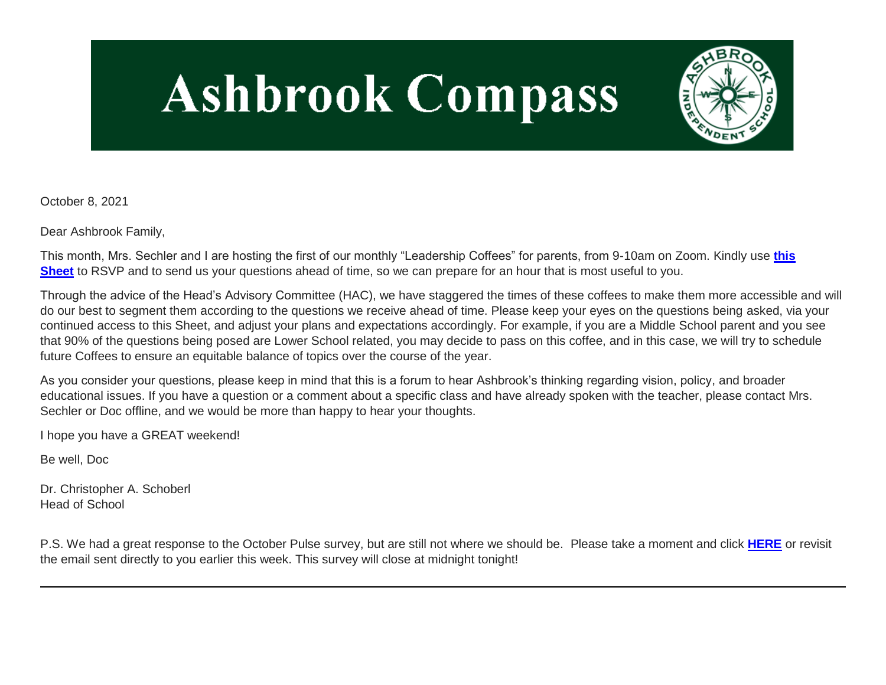# **Ashbrook Compass**



October 8, 2021

Dear Ashbrook Family,

This month, Mrs. Sechler and I are hosting the first of our monthly "Leadership Coffees" for parents, from 9-10am on Zoom. Kindly use **[this](http://link.mystudentsprogress.com/ls/click?upn=VpBe6Z9t6RkEC4qAoQCernsp8HCBMjyTYLa4-2FtRs-2FrjgQw2TGuQBf8wngOdspvQk2S7jqIxNO8V-2FDhaXm4DuS6aG4TtOz1uOhWgTXv04rjrkDRnyf9r256prhH3eUkOnXj8Bo4hvo2m1HA-2Bpg4EZbg-3D-3DIwxD_1PndbFfBoQGSZbxwXHHEexw3B2F0fG-2BUmuXm6a-2BX-2Bzt2l5m3NdVXT-2B5uqxwQXpUFLsvXFr89AgoLfevc-2B8qenpqYNPBX4loKXLfYs-2FauxsEI-2F4eyyyXZIItPYqMSI1PkuGKUolkldbJx7QevGDrAEFTt4PPjWMPGtBhSyi3zgmtLMUE55rp0uDvhJGCGH4akhzUWHNBnR-2B7qyQoWmpfSNO6WVU5GQMdj6sHLldm6MrgDMMQOkT0JsJbbkuP51HDgNlJNMaAnj1J2oac2c1rVJpf0TUh-2FDXe3d5-2Bi6WzUv3Odpq4l6lrYj-2Fq83DyYd-2FgR89X7kXiq4QKXx3JQhn2E9LdcxCHLFb9RscBasxmBazMVKl6me9forubyLKhBXixYNrVAXobsDTw6zEg-2FjVibcqEC2LR4hneurtuTzwU9lJ43cgmbWidbBhBT8bvQM1dV)  [Sheet](http://link.mystudentsprogress.com/ls/click?upn=VpBe6Z9t6RkEC4qAoQCernsp8HCBMjyTYLa4-2FtRs-2FrjgQw2TGuQBf8wngOdspvQk2S7jqIxNO8V-2FDhaXm4DuS6aG4TtOz1uOhWgTXv04rjrkDRnyf9r256prhH3eUkOnXj8Bo4hvo2m1HA-2Bpg4EZbg-3D-3DIwxD_1PndbFfBoQGSZbxwXHHEexw3B2F0fG-2BUmuXm6a-2BX-2Bzt2l5m3NdVXT-2B5uqxwQXpUFLsvXFr89AgoLfevc-2B8qenpqYNPBX4loKXLfYs-2FauxsEI-2F4eyyyXZIItPYqMSI1PkuGKUolkldbJx7QevGDrAEFTt4PPjWMPGtBhSyi3zgmtLMUE55rp0uDvhJGCGH4akhzUWHNBnR-2B7qyQoWmpfSNO6WVU5GQMdj6sHLldm6MrgDMMQOkT0JsJbbkuP51HDgNlJNMaAnj1J2oac2c1rVJpf0TUh-2FDXe3d5-2Bi6WzUv3Odpq4l6lrYj-2Fq83DyYd-2FgR89X7kXiq4QKXx3JQhn2E9LdcxCHLFb9RscBasxmBazMVKl6me9forubyLKhBXixYNrVAXobsDTw6zEg-2FjVibcqEC2LR4hneurtuTzwU9lJ43cgmbWidbBhBT8bvQM1dV)** to RSVP and to send us your questions ahead of time, so we can prepare for an hour that is most useful to you.

Through the advice of the Head's Advisory Committee (HAC), we have staggered the times of these coffees to make them more accessible and will do our best to segment them according to the questions we receive ahead of time. Please keep your eyes on the questions being asked, via your continued access to this Sheet, and adjust your plans and expectations accordingly. For example, if you are a Middle School parent and you see that 90% of the questions being posed are Lower School related, you may decide to pass on this coffee, and in this case, we will try to schedule future Coffees to ensure an equitable balance of topics over the course of the year.

As you consider your questions, please keep in mind that this is a forum to hear Ashbrook's thinking regarding vision, policy, and broader educational issues. If you have a question or a comment about a specific class and have already spoken with the teacher, please contact Mrs. Sechler or Doc offline, and we would be more than happy to hear your thoughts.

I hope you have a GREAT weekend!

Be well, Doc

Dr. Christopher A. Schoberl Head of School

P.S. We had a great response to the October Pulse survey, but are still not where we should be. Please take a moment and click **[HERE](http://link.mystudentsprogress.com/ls/click?upn=VpBe6Z9t6RkEC4qAoQCeri-2FFFh7llDqKppeMq4GAyjRWQxckQw26M-2Bv6Io9sYjjzjBCaehTXvTiSWa4PLitrX-2Fwp5Bb-2BCWwduqTXU1t9yrlLxvF5-2BtQI7ZQ-2BOTcJELtYJ6QPve42MUCRxAiTHtqxGw-3D-3D4U4X_1PndbFfBoQGSZbxwXHHEexw3B2F0fG-2BUmuXm6a-2BX-2Bzt2l5m3NdVXT-2B5uqxwQXpUFLsvXFr89AgoLfevc-2B8qenglHa-2BudCXydJ7dW-2FUFYOED6iuRKfF6rWhU4fqEHM6ExW66IVJKE4-2F9On5YlpaIHWxcIz2jmJm0dHBEBEttwlnl-2FQjTJnEXCA4QRZcCfHr5bWU6VWU6iBHYjFiO6E9C60qFVQT7cxQYyV1Hm9xUotMgttwnhEo-2Bynrzy-2B1QcZdWqWGbf6GJX78z-2B6khOuN6Za8Fbc0rbecoRMLSDXM54KTr5jbVdBJnW3-2FnaI09vjGPIXhRBspguZXJFhKwOjGeweU00eXDUktlvFZQB-2BKYQ6towqL8hHaLNyJoOeolwUcENQoJe9BfiSEaCPncrgdQo7iWb46BI02oyXdcThGmFqPnEmh4KLSH6mRlBvht6z2f5)** or revisit the email sent directly to you earlier this week. This survey will close at midnight tonight!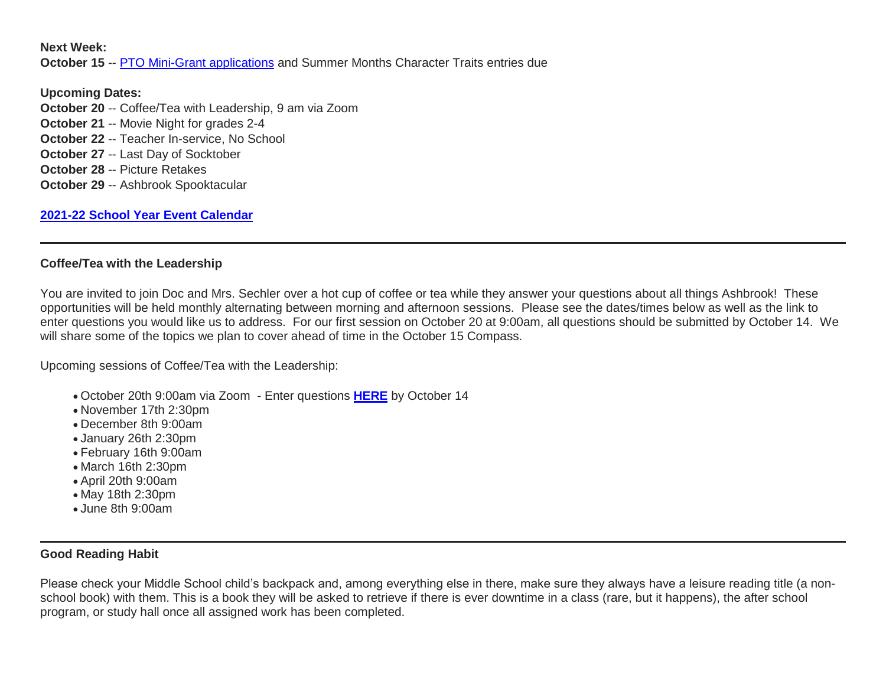**Next Week:**

**October 15** -- [PTO Mini-Grant applications](http://link.mystudentsprogress.com/ls/click?upn=n7jYKe39nC4PrVAw2BzaOolgU5XUleaJ61qfvNJxTW3uoi8RFzNYUfSc1qXdqajA34djZWrxIBJBxzp2whbybvqIYp3dDOkCDgKesziBdClenDsTc-2FUGtZuJNxIh5RAijA4c-2FxLDZKxjmas3d9mUCg2OGUEiTYCsalquiRQy9vw-3DufFC_1PndbFfBoQGSZbxwXHHEexw3B2F0fG-2BUmuXm6a-2BX-2Bzt2l5m3NdVXT-2B5uqxwQXpUFLsvXFr89AgoLfevc-2B8qeniF42WnHeMLOG0Uq1Zae9ZZ3485lp52R-2Fp-2FMfFRiY1SDsDLAASoWXc4low7ELXGyahxYs7-2F29A5wNaVUm00dgnU3A1fDaA9-2FemyPKDN2YkeOs9iN4eqgr2109it3mAG2sI1lTSalfcRRufudYGq2waqpbGzCuZ8d5YgxWiGYg8PCti7Y1nFoyOVCv3-2F0RreH6Q1pHuPPdWh946unS25dZBtFWuvrjWJWQdl9hkiRBSnbejQiMqfucLsXmv1EXWXUjObymJfkSAHm71CLz-2BIO540DLOdGTfekHba8g9IYUpfkOQl-2FFUVMNU-2FhayldrrahYhBNoqL-2BlAFbfLu4dSYQGaqsV8Lk-2F-2FBcIdht4u6YBSn6) and Summer Months Character Traits entries due

**Upcoming Dates: October 20** -- Coffee/Tea with Leadership, 9 am via Zoom **October 21** -- Movie Night for grades 2-4 **October 22** -- Teacher In-service, No School **October 27** -- Last Day of Socktober **October 28** -- Picture Retakes **October 29** -- Ashbrook Spooktacular

**[2021-22 School Year Event Calendar](http://link.mystudentsprogress.com/ls/click?upn=t3AI3kjK1Pyk9qPfHnOahelBVVSIlRAa3GeSLMbkINmgHr3guxrPuqfp-2Bh-2FJW4nCZ4g8Gi3XkGXC-2FKATZbsSvlLtGaxynoxi8rg7wuoRjJ9ogb5HbX999Eip-2FZE6wLdBt-2FZXHJBS6zquMLtzN9wyAf-2BwWQPV3rI3lDDknuQ1JHMBzJ8gUYT-2F7YzNEwZY9IsL01sHprQ-2FIDOi-2FxvxQxcWetx3uPiVsOO-2BTqPctwW7ytf9RkxC1x3UjTIEBtRaqxRocHrr-2BmciBR4-2BJ-2F9FRK9RIbCVijz3zpNIIcd4PIsUMddSSVNBf6Erlmv-2BHBcLMpY-2BXATDQ1ruaOReFDZmWYSBv8U-2FG-2FKOr0yEkAwqSdMzdcQ3gq4Z79RZNOTZP4nGap5-2B4nzc4nIf29OyD3NhvJHQaLkc85sE-2FfYbPaGyyk6H2FOzJRYThJmT37US6LpTrGNlh9HxVTLYe1LpjcNTBXNJsSKlp-2BAa-2BVuGTdE8v33fTt9-2BgR-2BE9tSlDPzhNHxWPZ2RZ535aLRz3SoCCiPZR3EABfh4FMKDRC4z2q-2Bvjvbtim7SOD4kDD2r5XYSDBe4a3bcI5fNds6iRAQWmj3uDnwn3-2B3tKuGNT1JKaRpJXKTgGLzWZLAnNUo4fvdQC77H83vaK-2BM8PCeLuljt-2FRAsnx0cP-2FGdRouESOyMOB5ORkT-2BH-2Bkw4hRRiiTCpe61BsZqpA-2Bu-3P__1PndbFfBoQGSZbxwXHHEexw3B2F0fG-2BUmuXm6a-2BX-2Bzt2l5m3NdVXT-2B5uqxwQXpUFLsvXFr89AgoLfevc-2B8qenodJQJPFb8KEnHb81PgsDAGY3QdBONlaV-2FM-2Fi-2BBWXNdp9myA7Vu0UuLwDFRfXWSSy1dX6U8AdFAg-2F6zuH2UfsnLSee-2FClXnFBR5oz7xxEkFI0-2Feobi1io7GqN7kz5jPkGwYVh5ybywAWMcu6QXykoVM2q3jAkRvC-2BWIFK6oyThyjlNthExBU-2FLhPjqyPV2jFIXR3EMBGlR2ql9UOkCLtmKbQ1mAAgZ94HAEyw9kbRT4Uvq0jxwvn3BbhjH8HNHvvP-2FHOJvTXjYGogOfy4T-2Fij6u-2Bwlov7lYnlzv6dB60ytPvCuH8qCrd-2BDScx-2B2MUJ-2F9nDiGdIObhpCtBgStT-2BtCTuLK60rKSmJSnZB6i43-2FdvPK)**

### **Coffee/Tea with the Leadership**

You are invited to join Doc and Mrs. Sechler over a hot cup of coffee or tea while they answer your questions about all things Ashbrook! These opportunities will be held monthly alternating between morning and afternoon sessions. Please see the dates/times below as well as the link to enter questions you would like us to address. For our first session on October 20 at 9:00am, all questions should be submitted by October 14. We will share some of the topics we plan to cover ahead of time in the October 15 Compass.

Upcoming sessions of Coffee/Tea with the Leadership:

- October 20th 9:00am via Zoom Enter questions **[HERE](http://link.mystudentsprogress.com/ls/click?upn=VpBe6Z9t6RkEC4qAoQCeri-2FFFh7llDqKppeMq4GAyjRWQxckQw26M-2Bv6Io9sYjjz6W46CCH-2BubvpuVA63wKWOQQJss8C6Vt0wfy2dMmIAlPCF1ws7NpquVMTlBHkjSNygp1Q4BVNatlJxkvTtJdWaH8mC55iZ7bU9YEXcPleWTo-3D1i-t_1PndbFfBoQGSZbxwXHHEexw3B2F0fG-2BUmuXm6a-2BX-2Bzt2l5m3NdVXT-2B5uqxwQXpUFLsvXFr89AgoLfevc-2B8qenoWqchJd-2FSkC9EFJIFtJ85UMFAM9-2FotL18jRtMgzkt6LKb5N6rwAzeDPgdKNuqPuxO4h829EInzslgR-2B3tKdZVkXR9MHR2H6rX-2B6FAdlWnyIBkror66wcrXHuYDB7MWOz-2B8QezN0MSfq3D1XqMxpiax5bRLwGDoSmjnVtkYwKVJDPcuu-2FT2nqT63wo8iouM2wbHF4dATsAC0GHJNuEwWlqt2culJu3U7uKzaA3r-2BTUHZHvIZlB-2FZmS-2FxW4Pgrn6Qwb5ErNMTjDgRgnlps5dMf9kjVT39mpUU6Nk-2BOdEqZcrm9yuabWB4FNTk7X73yxgwmWiyZ6RaqqD-2BhrYPVPMCjibIJ1WF94MDgXiyf14nSn4O)** by October 14
- November 17th 2:30pm
- December 8th 9:00am
- January 26th 2:30pm
- February 16th 9:00am
- March 16th 2:30pm
- April 20th 9:00am
- May 18th 2:30pm
- June 8th 9:00am

## **Good Reading Habit**

Please check your Middle School child's backpack and, among everything else in there, make sure they always have a leisure reading title (a nonschool book) with them. This is a book they will be asked to retrieve if there is ever downtime in a class (rare, but it happens), the after school program, or study hall once all assigned work has been completed.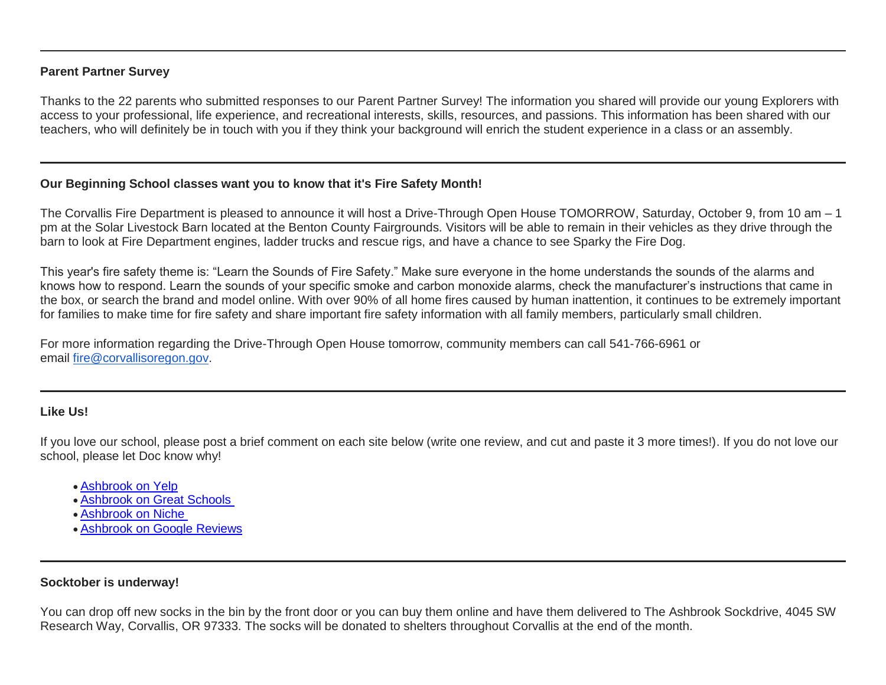## **Parent Partner Survey**

Thanks to the 22 parents who submitted responses to our Parent Partner Survey! The information you shared will provide our young Explorers with access to your professional, life experience, and recreational interests, skills, resources, and passions. This information has been shared with our teachers, who will definitely be in touch with you if they think your background will enrich the student experience in a class or an assembly.

### **Our Beginning School classes want you to know that it's Fire Safety Month!**

The Corvallis Fire Department is pleased to announce it will host a Drive-Through Open House TOMORROW, Saturday, October 9, from 10 am – 1 pm at the Solar Livestock Barn located at the Benton County Fairgrounds. Visitors will be able to remain in their vehicles as they drive through the barn to look at Fire Department engines, ladder trucks and rescue rigs, and have a chance to see Sparky the Fire Dog.

This year's fire safety theme is: "Learn the Sounds of Fire Safety." Make sure everyone in the home understands the sounds of the alarms and knows how to respond. Learn the sounds of your specific smoke and carbon monoxide alarms, check the manufacturer's instructions that came in the box, or search the brand and model online. With over 90% of all home fires caused by human inattention, it continues to be extremely important for families to make time for fire safety and share important fire safety information with all family members, particularly small children.

For more information regarding the Drive-Through Open House tomorrow, community members can call 541-766-6961 or email [fire@corvallisoregon.gov.](mailto:fire@corvallisoregon.gov)

## **Like Us!**

If you love our school, please post a brief comment on each site below (write one review, and cut and paste it 3 more times!). If you do not love our school, please let Doc know why!

- [Ashbrook on Yelp](http://link.mystudentsprogress.com/ls/click?upn=5XDbAd9r0ovG7GZusFBG8ArlBqeE5IAnSePqR8j-2B0JgGXBrXaMkUH5xXencE30HhlVXXC5H94MzNlHHHj-2FD-2FIolCcKTtNHJR9UEA7RgJlE4-3Dqm_N_1PndbFfBoQGSZbxwXHHEexw3B2F0fG-2BUmuXm6a-2BX-2Bzt2l5m3NdVXT-2B5uqxwQXpUFLsvXFr89AgoLfevc-2B8qentP-2BUtYGEhW6uafgAMfdws9tovu4fcIj6MlqnfpoYDB3M1nnWcVV8iB4eX6gGE36vi3z-2Flzsct2brBOaOQ4Bi0lYYJ4HlkQ2sCXSF3-2BKbVb-2FZlkT-2FelPEp-2BYWecD9WBxZaBQWP0Y0jRe2BhZBBI0Shn4VSh939KqGRnJ6i1Qe2e4smNt54M3nYClBJ7XO34LHOzrr5qsOYnJayTzA5jhvf8N6kuoG6ET8vF2J3KVc0U1ZjWiaM3hYx1-2FFR0uDAIYisKqn-2BnhzzAA3EYxHsrDKazP0MUPaBF-2FgfNEKxyJmwt8tJmXj1CGODp1NfEWFTFr-2FyCd3hLZuckYSGQv4dMD7QPhi4ZFw1sOZ6pJKDz4eGwx)
- [Ashbrook on Great Schools](http://link.mystudentsprogress.com/ls/click?upn=5XDbAd9r0ovG7GZusFBG8EQzakSobdT7E0C0fF-2FqIhx506H-2Bq-2BTUGm2jD1tBSD5tmI4rQj-2F317-2BMJGYpQ01qPARQ5On6VU7PUNFxs5e-2FIZVRVXb9qaVtJ6D333PKmSIOA7ot_1PndbFfBoQGSZbxwXHHEexw3B2F0fG-2BUmuXm6a-2BX-2Bzt2l5m3NdVXT-2B5uqxwQXpUFLsvXFr89AgoLfevc-2B8qenkNdcLKVn74mqxWUGhRMdE79lsNpIuKAt6yAs49wOEvoVCnOedOh4jYaF0X8yyNAT5fQ1MVxXwJo-2FMIXc2j-2BJc-2FqZFIBKfcFpUaViyKfhGX2fXy50MDmV-2BMILCZRaZaGzIEqxXcmhVBgYYlFUKvEUKqc4k08Fvlwoviq-2FavQSi-2BEoOtnd5U5kQcV5XPZwWELLccU1GjIdyqpLoughlTcSlrTqxggAlHfcn-2ByYB5h1HJRyBvHzOTkQMift9ygaNN0Go4e4sKqD8AypAE8eNYlvzT0D5XFZUgGJxOoZnJENgVR8TYrk3qFd7xCaJ-2BKelTBQBqtuN7772U8humVWmPBGotiAsHtfCYtyeSgRHw5PVz-2B)
- [Ashbrook on Niche](http://link.mystudentsprogress.com/ls/click?upn=5XDbAd9r0ovG7GZusFBG8M-2B2q7ptOINWHjeGmse6qDhpqzUuZRv0cvDW1eAiFLlcXRL5PB-2FO41b9X601CJ1E9jTRkCcyzos3SK3Nijdvfn0-3DWL0F_1PndbFfBoQGSZbxwXHHEexw3B2F0fG-2BUmuXm6a-2BX-2Bzt2l5m3NdVXT-2B5uqxwQXpUFLsvXFr89AgoLfevc-2B8qenmxdO0ur-2Fy4GCY-2FUdAb-2FJsil4exCJGKd9aRvvFHnG-2Bk3XRfP-2FqX14nW22H3V8Tgh8x64xyBFWurmEpCKzihWitbTQo1Zv5Ylcgvh0iEUrXUurXRWhVnukg56APbrlFqD5yDsVd6JkDbSI5XjMofwPQXSV342yNWUfKH9GmdF0DkFnvs-2FIt02lydreg1mThHNc7nkflzxtqsTZB70ZMfqldmbJ-2B06HYDoTnpUAIsAB3L0wQuEwjK6gBw5iAtNrl9bWXDiVNYXE4QSwr-2BdMw7Pg058-2FN5R97Lm6YM1OeMhTo1I9QfXVjoWEd9Vln7yXM0MsV9E5YplJU6A3gvdNANdeWonkKNvzkhmZZ38PBJIIZnJ)
- [Ashbrook on Google Reviews](http://link.mystudentsprogress.com/ls/click?upn=5XDbAd9r0ovG7GZusFBG8EZknkiar5TD-2BKh9YYHYaWWfbe9a8h0vwBtdQjr6ISrRdjnLqhc6vpiNsNq9i6Kw9h-2F-2ByiUr-2BKRAzyfzUgJd-2Bbk7BiU-2F-2FzRjkR336yUpGlyG2j-2FaeoijcTQ-2B1B9XJsiktHc8HgDty22XX64BX-2FVibocXg-2BBDGiVqpRi6U0mi93h2nqKjTgYmmGAq7uiaoHKJCp94d2CO49-2FyZCBHooUt2NmzMgxz-2FhMWdJUWzg8ibltp29jNANgPXB-2Fn62LESt2oLDp5mo5ibHxCyGK-2BDY7ajETG0qGOX2sKQpE4ufTfHHpxqDxtPG9lD3pK77rGFBHxiSyM7s9EoSwz4cP-2B06c33foPwhn-2BICq73EyAthFbFQvlUW9-2F8NecpVoODkNE9Fu5pqAL0SLqbqRsMvFh753x1htlIrdOfKnyZRnH2iV8FpCelsaRlxEqZtTud5-2B5tf84jbO4JJUEr1SWgs7b57OTsq6xvLXLLlm4yJLRyDGE3TeKp1lNG1fGBp-2BgoL-2BZpIBsyqEDFbX4g9PfpkT0ey9ANFYJHnF8jjFzsDALrNUw4aXskM1UbCUCnQqTtA9boCmQaxmGohoJHlslLGCmA9JhtmAuX6DpfG7Rf0m75u3MxEQmjZkC9u5QqB2xk40VdgcoSe8qfDjb6tGfJrub8M5rs0mK5KjE2CTjp-2FE2Um87ZzPBhUSkm7hzF480BbTZr8LDiLYi-2B7cBv58BuTVaISJ3r8nR8oYhnzwfU8p-2Fy25SpnL79mk6s06qpPUgKAS1QCFzmP-2Bm7b-2FgYqburCpUsVoLW-2FKYWSn1ZAx3dP-2FpkRTYN7qc0OFf9JadUyeOw-2BAPfgMQTFigXsXqFLA-2Bw-2FfMQlb4JLrAcN9SGOOpnwqY-2FtXvspUXtRNV-2BdEKp58O5Y67eOF2WBVdJ4fgv53dV3Z92ptMfR4p5f-2FUTwZh51vVN70lF9cyksHDDp034zxtP-2BccuuSx0J6R0DwK6LrE4b0iFQisQKM9VgZvnP1ZCYimB44X-2F0b8VUcF_1PndbFfBoQGSZbxwXHHEexw3B2F0fG-2BUmuXm6a-2BX-2Bzt2l5m3NdVXT-2B5uqxwQXpUFLsvXFr89AgoLfevc-2B8qents-2Byw7lidzElBfetZKrFZoB3RojEAaJnLfoou9md2NYS7DyD57-2FWeYIAEfpA99oeyKy5oITWIR2-2BmikusG-2FwPG1IF4nlcNKjaSoWQyhC-2FvEZdIc69twxqP-2BUipie8mLuv8AntVbkHm13lCA51MP0I7Cw6lNL7ezgp7aAU-2BGgGSg3lwTxffzK5fwTEkDpw6XMGiQtxXseT7U-2BGS4u1IbALAC3sErrUc7Ft5AvUGDBed1wwiEApoMELw1swIKSez7Bbud2FGtib5teuvI6q5FOYd5g-2B9w5aRoPv1r-2BbtDT1yAK6yD8o2dAKxcjU73j-2F1-2BiPnNIPFdXxdXjr5kElU4MrAe0LPXgJhYstM-2BE319r5jB)

## **Socktober is underway!**

You can drop off new socks in the bin by the front door or you can buy them online and have them delivered to The Ashbrook Sockdrive, 4045 SW Research Way, Corvallis, OR 97333. The socks will be donated to shelters throughout Corvallis at the end of the month.